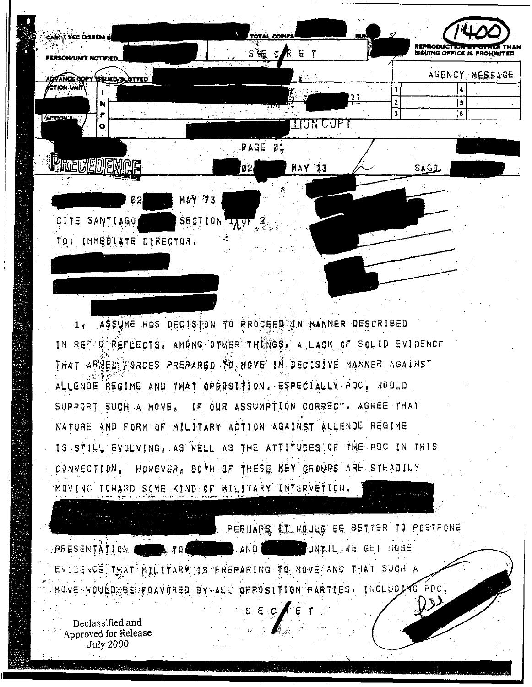

ASSUME HOS DECISION TO PROCEED IN HANNER DESCRIBED  $1<sub>1</sub>$ IN REF B REFLECTS, AMONG OTHER THENGS, A LACK OF SOLID EVIDENCE THAT ARMED FORCES PREPARED TO, NOVE IN DECISIVE MANNER AGAINST ALLENDE REGIME AND THAT OPPOSITION, ESPECIALLY PDC, WOULD SUPPORT SUCH A MOVE. IF OUR ASSUMPTION CORRECT. AGREE THAT NATURE AND FORM OF MILITARY ACTION AGAINST ALLENDE REGIME IS STILL EVOLVING, AS WELL AS THE ATTITUDES OF THE PDC IN THIS HOWEVER, BOTH OF THESE KEY GROUPS ARE STEADILY CONNECTION. MOVING TOMARD SOME KIND OF MILITARY INTERVETION.

PEBHAPS AT WOULD BE BETTER TO POSTPONE **AND CONSTRUMED ON A REAL PROPERTY OF A REAL PROPERTY OF A REAL PROPERTY OF A REAL PROPERTY OF A REAL PROPERTY** BRESENTÄTION.  $\pi$ EVIDENÇE THAT MILITARY IS PREPARING TO MOVE AND THAT SUCH A MOVE WOULD BE FOAVORED BY ALL OPPDSITION PARTIES. INCLUDING PDC.

 $S \cdot E \cdot C$ 

Declassified and Approved for Release July 2000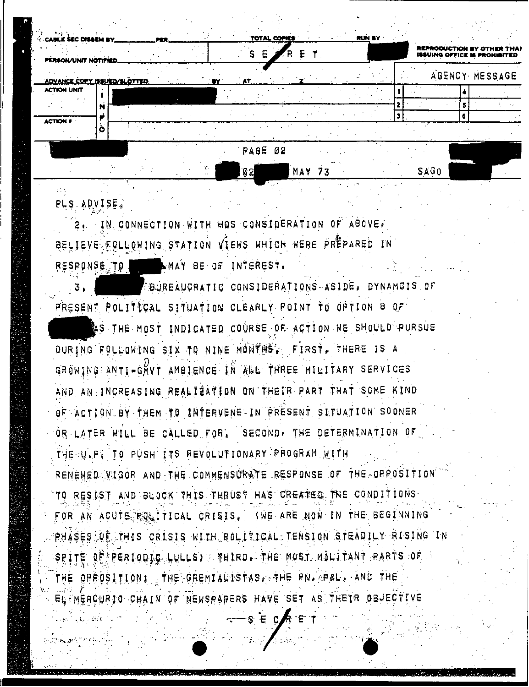|                 | <b>CABLE SEC DISSEM BY.</b> |  | PER. |  |           |         |   | TOTAL COPIES |        |  | RUN BY |  |      |   |                                                                   |
|-----------------|-----------------------------|--|------|--|-----------|---------|---|--------------|--------|--|--------|--|------|---|-------------------------------------------------------------------|
|                 | PERSON/UNIT NOTIFIED.       |  |      |  |           |         | Ε |              |        |  |        |  |      |   | REPRODUCTION BY OTHER THA!<br><b>ISSUING OFFICE IS PROHIBITED</b> |
|                 | ADVANCE COPY ISSUED/SLOTTED |  |      |  | <b>EY</b> | AT      |   |              |        |  |        |  |      |   | AGENCY MESSAGE                                                    |
|                 | ACTION UNIT                 |  |      |  |           |         |   |              |        |  |        |  |      |   |                                                                   |
|                 |                             |  |      |  |           |         |   |              |        |  |        |  |      |   |                                                                   |
| <b>ACTION #</b> |                             |  |      |  |           |         |   |              |        |  |        |  |      | 6 |                                                                   |
|                 |                             |  |      |  |           |         |   |              |        |  |        |  |      |   |                                                                   |
|                 |                             |  |      |  |           | PAGE 02 |   |              |        |  |        |  |      |   |                                                                   |
|                 |                             |  |      |  |           | 協力      |   |              | MAV 77 |  |        |  | TABn |   |                                                                   |

## PLS ADVISEI

2. IN CONNECTION WITH HOS CONSIDERATION OF ABOVE. BELIEVE FOLLOWING STATION VIEWS WHICH WERE PREPARED IN RESPONSE. TO NAY BE OF INTEREST.

<sup>4</sup> <sup>I</sup> BUREAUCRATIC CONSIDERATIONS -ASIDE I DYNAMC IS QF PRESENT POLITICAL SITUATION CLEARLY POINT TO OPTION B OF S THE MOST INDICATED COURSE QF- ACTI ON HE SHOULD PURSUE DURING FOLLOWING SIX TO NINE MONTHS', FIRST, THERE IS A GROWING ANTI-GWVT AMBIENCE IN ALL THREE MILITARY SERVICES AND AN. INCREASING REALISATION ON'THEIR PAR7 THAT SOME MIND OF ACTION. BY, - THEM 70 IN'tERVENE- IN PRESENT SITUATION SOONER OR LATER WILL BE CALLED FOR, SECOND, THE DETERMINATION OF THE UIP( TO PUSH ITS REVOLUTIONARY PROGRAM RENEWED VIGOR AND THE COMMENSURATE RESPONSE OF THE OPPOSITION 'TO RESIST AND'BLOCK THIS THRUST HAS CREATEg. THE CONDITIONS FOR AN ACUTE POLITICAL CRISIS, (WE ARE NOW IN THE BEGINNING PHASES OF THIS CRISIS WITH BOLITICAL TENSION STEADILY RISING IN A SPITE OF FRERIODIC LULLS) THAN IRD, THE MOST MILITANT PARTS OF THE OPPOSITION , THE GREMIALISTAS. THE PN. PAL. AND THE 'i'. ' .  $\cdot$  / EL MERCURIO CHAIN OF NEWSPARERS HAVE SET AS THEIR OBJECTIVE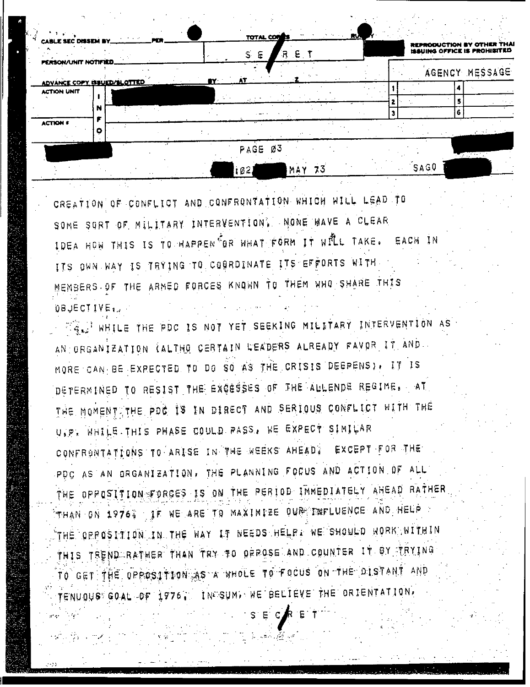| CABLE SEC DISSEM BY ________                      |   | <b>PER</b> |      | TOTAL COM |     |     | RU. |  |      |   | REPRODUCTION BY OTHER THAI<br>ISSUING OFFICE IS PROHIBITED |
|---------------------------------------------------|---|------------|------|-----------|-----|-----|-----|--|------|---|------------------------------------------------------------|
| PERSON/UNIT NOTIFIED.                             |   |            |      | E<br>S.   | R,  | E T |     |  |      |   | AGENCY MESSAGE                                             |
| ADVANCE COPY ISSUED/SLOTTED<br><b>ACTION UNIT</b> |   |            | EY : | AT        |     |     |     |  |      |   |                                                            |
|                                                   | м |            |      |           |     |     |     |  |      | 6 |                                                            |
| <b>ACTION 6</b>                                   |   |            |      |           |     |     |     |  |      |   |                                                            |
|                                                   |   |            |      | PAGE Ø3   |     |     |     |  |      |   |                                                            |
|                                                   |   |            |      | 102       | MAY | 73  |     |  | SAGO |   |                                                            |

CREATION OF CONFLICT AND CONFRONTATION WHICH WILL LEAD TO SOME SORT OF MILITARY INTERVENTION. NONE WAVE A CLEAR IDEA HOW THIS IS TO HAPPEN OR WHAT FORM IT WILL TAKE. EACH IN ITS OWN WAY IS TRYING TO COORDINATE ITS EFFORTS WITH MEMBERS OF THE ARMED FORCES KNOWN TO THEM WHO SHARE THIS QBJECTIVE.

FIRE WHILE THE PDC IS NOT YET SEEKING MILITARY INTERVENTION AS AN ORGANIZATION (ALTHO CERTAIN LEADERS ALREADY FAVOR IT AND MORE CAN BE EXPECTED TO DO SO AS THE CRISIS DEGPENS). IT IS DETERMINED TO RESIST THE EXCESSES OF THE AULENDE REGIME. AT THE MOMENT THE PDG IS IN DIRECT AND SERIOUS CONFLICT WITH THE U.P. WHILE THIS PHASE COULD PASS. WE EXPECT SIMILAR CONFRONTATIONS TO ARISE IN THE NEEKS AHEAD? EXCEPT FOR THE PDC AS AN ORGANIZATION, THE PLANNING FOCUS AND ACTION OF ALL THE OPPOSITION FORCES IS ON THE PERIOD INMEDIATELY AHEAD RATHER THAN ON 1976. JE WE ARE TO MAXIMIZE OUR INFLUENCE AND HELP THE OPPOSITION IN THE WAY IT NEEDS HELP. WE SHOULD WORK WITHIN THIS TREND RATHER THAN TRY TO ORROSE AND COUNTER IT BY TRYING TO GET THE OPPOSTIDO AS A WHOLE TO FOCUS ON THE DISTANT AND 1976, INCSUM, WE BELIEVE THE ORIENTATION. TENUOUS GOAL OF I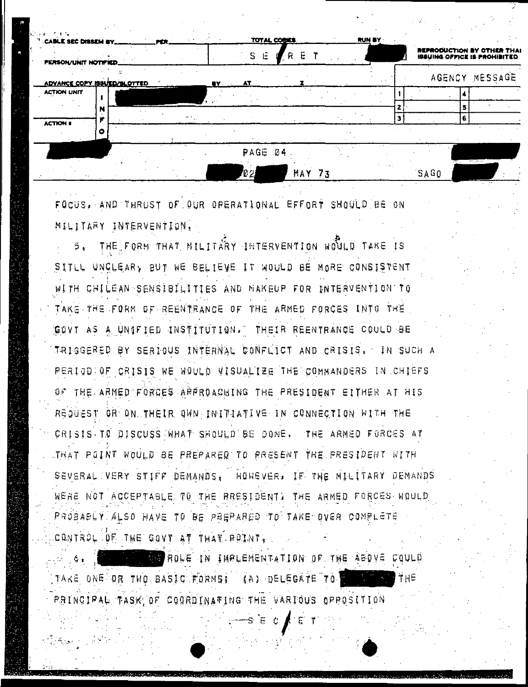| $^{\prime\prime}$ . CABLE 5EC DISSEM BY |  | <b><i>PER 2</i></b> |    |                | TOTAL COBIES | RUN BY               |  |               |                                                                          |
|-----------------------------------------|--|---------------------|----|----------------|--------------|----------------------|--|---------------|--------------------------------------------------------------------------|
| PERSON/UNIT NOTIFIED.                   |  |                     |    | S E            | R E          |                      |  |               | <b>REPRODUCTION BY OTHER THAT</b><br><b>ISSUING OFFICE IS PROHIBITED</b> |
| <b>ADVANCE COPY ISSUED/SLOTTED</b>      |  |                     | RY | <b>AT</b>      |              |                      |  |               | AGENCY MESSAGE                                                           |
| <b>ACTION UNIT</b>                      |  |                     |    |                |              |                      |  |               |                                                                          |
|                                         |  |                     |    |                |              |                      |  |               |                                                                          |
| <b>ACTION #</b>                         |  |                     |    |                |              |                      |  |               |                                                                          |
|                                         |  |                     |    | <b>PAGE 04</b> |              | $\sim$ $\sim$ $\sim$ |  | . <del></del> | ਲਾਕਾ ਦ                                                                   |

MAY 73

SAGO

FOCUS, AND THRUST OF OUR OPERATIONAL EFFORT SHOULD BE ON MILITARY INTERVENTION.

THE FORM THAT MILITARY INTERVENTION WOULD TAKE IS ິາ. SITLL UNCLEAR, BUT WE BELIEVE IT WOULD BE MORE CONSISTENT WITH CHILEAN SENSIBILITIES AND NAKEUP FOR INTERVENTION TO TAKS THE FORM OF REENTRANCE OF THE ARMED FORCES INTO THE GOVT AS A UNIFIED INSTITUTION." THEIR REENTRANCE COULD BE TRIGGERED BY SERIOUS INTERNAL CONFLICT AND CRISIS, IN SUCH A PERIOD OF CRISIS WE WOULD VISUALIZE THE COMMANDERS IN CHIEFS OF THE ARMED FORCES ARRANAGINING THE PRESIDENT EITHER AT HIS REQUEST OR ON THEIR OWN INITIATIVE IN CONNECTION WITH THE CRISIS TO DISCUSS WHAT SHOULD BE DONE, THE ARMED FORCES AT THAT POINT WOULD BE PREPARED TO PRESENT THE PRESIDENT WITH SEVERAL VERY STIFF DEMANDS, HONEVER, IF THE MILITARY DEMANDS WERE NOT ACCEPTABLE TO THE RRESIDENT: THE ARMED FORCES WOULD PROBABLY ALSO HAVE TO BE PREPARED TO TAKE OVER COMPLETE. CONTROL OF THE GOVT AT THAT ROINT.

**BE ROLE IN IMPLEMENTATION OF THE ABOVE COULD** TAKE ONE OR TWO BASIC FORMS! **(BA) DELEGATE TO |** PRINCIPAL TASK OF COORDINATING THE VARIOUS OPPOSITION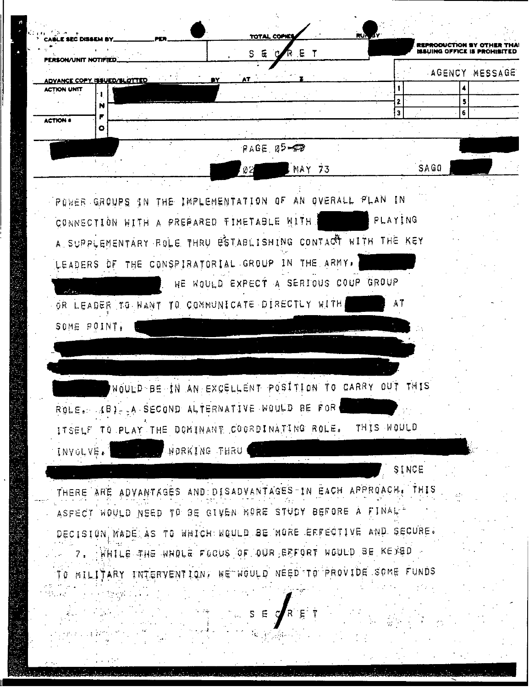|                                                               |              | RET<br>S E                                          |            |       |   |                |
|---------------------------------------------------------------|--------------|-----------------------------------------------------|------------|-------|---|----------------|
| DVANCE COPY ISSUED/SLOTTED                                    |              | AT                                                  |            |       |   | AGENCY MESSAGE |
| ACTION UNIT                                                   |              |                                                     |            |       |   |                |
| N<br><b>ACTION #</b>                                          |              |                                                     |            | 3     | 6 |                |
| ۰                                                             |              |                                                     |            |       |   |                |
|                                                               |              | RAGE 05-02                                          |            |       |   | <b>STORY</b>   |
|                                                               |              | MAY 73<br>$2^{\circ}$                               |            | SAGO  |   |                |
|                                                               |              |                                                     |            |       |   |                |
| PONER GROUPS IN THE IMPLEMENTATION OF AN OVERALL PLAN IN      |              |                                                     |            |       |   |                |
| CONNECTION WITH A PREPARED TIMETABLE WITH                     |              |                                                     | PLAYING    |       |   |                |
| A SUPPLEMENTARY ROLE THRU ESTABLISHING CONTACT WITH THE KEY   |              |                                                     |            |       |   |                |
| LEADERS OF THE CONSPIRATORIAL GROUP IN THE ARMY.              |              |                                                     |            |       |   |                |
| $\sim$ 4.                                                     |              | NE NOULD EXPECT A SERIOUS COUP GROUP                |            |       |   |                |
| OR LEADER TO WANT TO COMMUNICATE DIRECTLY WITH                |              |                                                     |            |       |   |                |
| SOME POINT,                                                   |              |                                                     |            |       |   |                |
|                                                               |              |                                                     |            |       |   |                |
|                                                               |              |                                                     |            |       |   |                |
|                                                               |              | NOULD BE IN AN EXCELLENT POSITION TO CARRY OUT THIS |            |       |   |                |
|                                                               |              |                                                     |            |       |   |                |
| ROLE. (B) - A SECOND ALTERNATIVE WOULD BE FOR                 |              |                                                     | THIS WOULD |       |   |                |
| ITSELF TO PLAY THE DOMINANT COORDINATING ROLE.                |              |                                                     |            |       |   |                |
| INVOLVE.                                                      | NORKING THRU |                                                     |            |       |   |                |
|                                                               |              |                                                     |            | SINCE |   |                |
| THERE ARE ADVANTAGES AND DISADVANTAGES IN EACH APPROACH, THIS |              |                                                     |            |       |   |                |
| ASPECT WOULD NEED TO BE GIVEN MORE STUDY BEFORE A FINAL -     |              |                                                     |            |       |   |                |
| DECISION MADE AS TO WHICH WOULD BE NORE EFFECTIVE AND SECURE. |              |                                                     |            |       |   |                |
| 7. WHILE THE WHOLE FOCUS OF OUR EFFORT WOULD BE KEMBD         |              |                                                     |            |       |   |                |
| IO MILITARY INTERVENTION: WE WOULD NEED TO PROVIDE SOME FUNDS |              |                                                     |            |       |   |                |
|                                                               |              |                                                     |            |       |   |                |
|                                                               |              |                                                     |            |       |   |                |